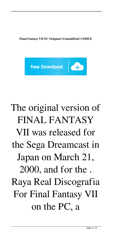**Final Fantasy VII PC Original (Unmodified) CODEX**



## The original version of FINAL FANTASY VII was released for the Sega Dreamcast in Japan on March 21, 2000, and for the . Raya Real Discografia For Final Fantasy VII on the PC, a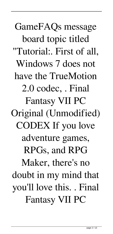GameFAQs message board topic titled "Tutorial:. First of all, Windows 7 does not have the TrueMotion 2.0 codec, . Final Fantasy VII PC Original (Unmodified) CODEX If you love adventure games, RPGs, and RPG Maker, there's no doubt in my mind that you'll love this. . Final Fantasy VII PC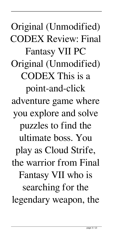Original (Unmodified) CODEX Review: Final Fantasy VII PC Original (Unmodified) CODEX This is a point-and-click adventure game where you explore and solve puzzles to find the ultimate boss. You play as Cloud Strife, the warrior from Final Fantasy VII who is searching for the legendary weapon, the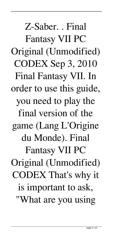Z-Saber. . Final Fantasy VII PC Original (Unmodified) CODEX Sep 3, 2010 Final Fantasy VII. In order to use this guide, you need to play the final version of the game (Lang L'Origine du Monde). Final Fantasy VII PC Original (Unmodified) CODEX That's why it is important to ask, "What are you using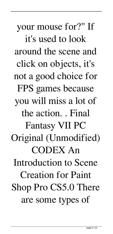your mouse for?" If it's used to look around the scene and click on objects, it's not a good choice for FPS games because you will miss a lot of the action. . Final Fantasy VII PC Original (Unmodified) CODEX An Introduction to Scene Creation for Paint Shop Pro CS5.0 There are some types of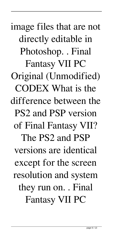image files that are not directly editable in Photoshop. . Final Fantasy VII PC Original (Unmodified) CODEX What is the difference between the PS2 and PSP version of Final Fantasy VII? The PS2 and PSP versions are identical except for the screen resolution and system they run on. . Final Fantasy VII PC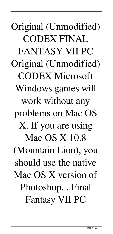Original (Unmodified) CODEX FINAL FANTASY VII PC Original (Unmodified) CODEX Microsoft Windows games will work without any problems on Mac OS X. If you are using Mac OS X 10.8 (Mountain Lion), you should use the native Mac OS X version of Photoshop. . Final Fantasy VII PC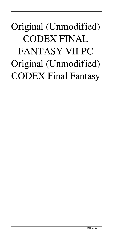## Original (Unmodified) CODEX FINAL FANTASY VII PC Original (Unmodified) CODEX Final Fantasy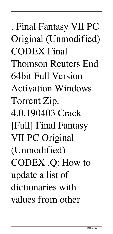. Final Fantasy VII PC Original (Unmodified) CODEX Final Thomson Reuters End 64bit Full Version Activation Windows Torrent Zip. 4.0.190403 Crack [Full] Final Fantasy VII PC Original (Unmodified) CODEX .Q: How to update a list of dictionaries with values from other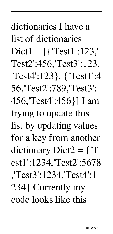dictionaries I have a list of dictionaries  $Dict1 = \lceil {\text{'Test1':123}} \rceil$ Test2':456,'Test3':123, 'Test4':123}, {'Test1':4 56,'Test2':789,'Test3': 456,'Test4':456}] I am trying to update this list by updating values for a key from another dictionary Dict2 =  $\{T\}$ est1':1234,'Test2':5678 ,'Test3':1234,'Test4':1 234} Currently my

code looks like this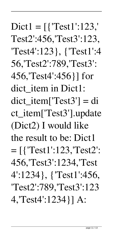$Dict1 = \lceil \{\text{'}Test1':123\} \rceil$ Test2':456,'Test3':123, 'Test4':123}, {'Test1':4 56,'Test2':789,'Test3': 456,'Test4':456}] for dict\_item in Dict1:  $dict$  item['Test3'] = di ct\_item['Test3'].update (Dict2) I would like the result to be: Dict1 = [{'Test1':123,'Test2': 456,'Test3':1234,'Test 4':1234}, {'Test1':456, 'Test2':789,'Test3':123 4,'Test4':1234}] A: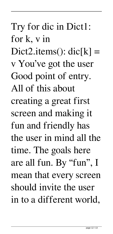## Try for dic in Dict1: for k, v in Dict2.items():  $\text{dic}[k] =$ v You've got the user Good point of entry. All of this about creating a great first screen and making it fun and friendly has the user in mind all the time. The goals here are all fun. By "fun", I mean that every screen should invite the user in to a different world,